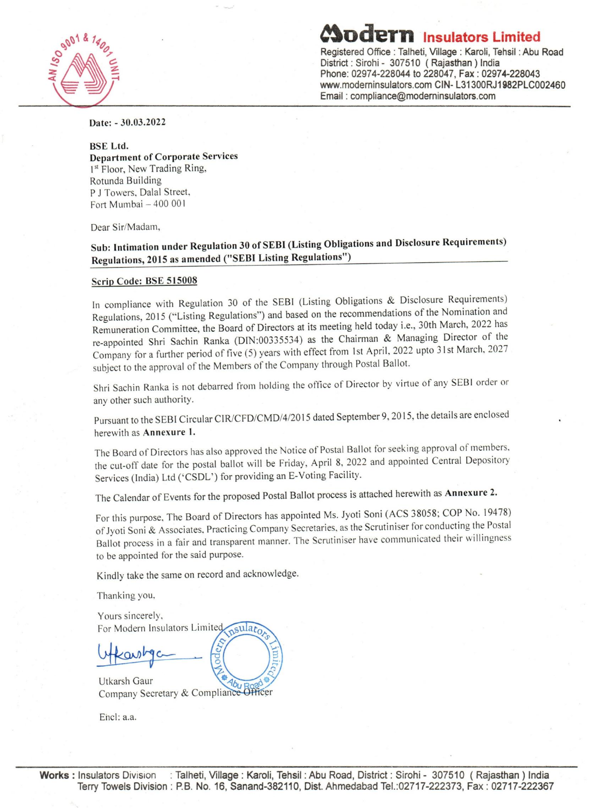

**deTn Insulators Limited** Registered Office: Talheti, Village: Karoli, Tehsil : Abu Road District: Sirohi - 307510 (Rajasthan) India Phone: 02974-228044 to 228047, Fax: 02974-228043 www.moderninsulators.com CIN- L31300RJ1982PLC002460 Email: compliance@moderninsulators.com

Date: - 30.03.2022

#### BSE Ltd.

Department of Corporate Services 1st Floor, New Trading Ring, Rotunda Building P J Towers, Dalal Street, Fort Mumbai - 400 001

Dear Sir/Madam,

# Sub: Intimation under Regulation 30 of SEBl (Listing Obligations and Disclosure Requirements) Regulations, 2015 as amended ("SEBt Listing Regulations")

#### Scrip Code: BSE 515008

In compliance with Regulation 30 of the SEBI (Listing Obligations & Disclosure Requirements) Regulations, 2015 ("Listing Regulations") and based on the recommendations of the Nomination and Remuneration Committee, the Board of Directors at its meeting held today i.e., 30th March, 2022 has re-appointed Shri Sachin Ranka (DIN:00335534) as the Chairman & Managing Director of the Company for a further period of five (5) years with effect from 1st April, 2022 upto 31st March, 2027 subject to the approval of the Members of the Company through Postal Ballot.

Shri Sachin Ranka is not debarred from holding the office of Director by virtue of any SEBI order or any other such authority.

Pursuant to the SEBI Circular CIR/CFD/CMD/4/2015 dated September 9, 2015, the details are enclosed herewith as Annexure l.

The Board of Directors has also approved the Notice of Postal Ballot for seeking approval of members. the cut-off date for the postal ballot will be Friday, April 8, 2022 and appointed Central Depository Services (India) Ltd ('CSDL') for providing an E-Voting Facility.

The Calendar of Events for the proposed Postal Ballot process is attached herewith as Annexure 2.

For this purpose, The Board of Directors has appointed Ms. Jyoti Soni (ACS 38058; COP No. 19478) of Jyoti Soni & Associates. Practicing Company Secretaries, as the Scrutiniser for conducting the Postal Ballot process in a fair and transparent manner. The Scrutiniser have communicated their willingness to be appointed for the said purpose.

Kindly take the same on record and acknowledge.

Thanking you.

Yours sincerely, For Modern Insulators Limited sulato

Utkarsh Gaur Company Secretary & Compliance Officer

Ehcl: a.a.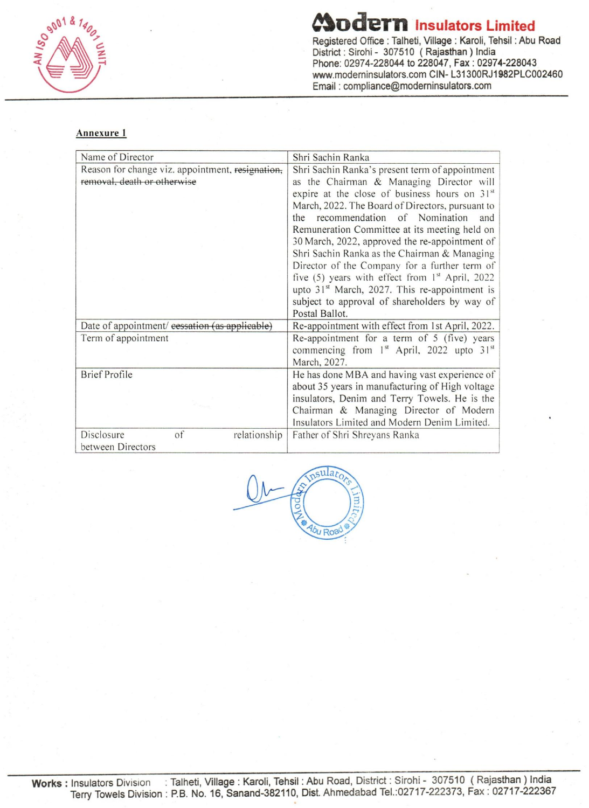

~odeTn **Insulators Limited Registered Office: Talheti, Village: Karoli, Tehsil : Abu Road District: Sirohi - 307510 (Rajasthan) India Phone: 02974-228044 to 228047, Fax: 02974-228043 www.modeminsulators.com CIN- L31300RJ1982PLC002460 Email: compliance@moderninsulators.com** 

#### **Annexure 1**

| Name of Director                                 | Shri Sachin Ranka                                                 |  |  |
|--------------------------------------------------|-------------------------------------------------------------------|--|--|
| Reason for change viz. appointment, resignation, | Shri Sachin Ranka's present term of appointment                   |  |  |
| removal, death or otherwise                      | as the Chairman & Managing Director will                          |  |  |
|                                                  | expire at the close of business hours on 31st                     |  |  |
|                                                  | March, 2022. The Board of Directors, pursuant to                  |  |  |
|                                                  | the recommendation of Nomination<br>and                           |  |  |
|                                                  | Remuneration Committee at its meeting held on                     |  |  |
|                                                  | 30 March, 2022, approved the re-appointment of                    |  |  |
|                                                  | Shri Sachin Ranka as the Chairman & Managing                      |  |  |
|                                                  | Director of the Company for a further term of                     |  |  |
|                                                  | five (5) years with effect from 1 <sup>st</sup> April, 2022       |  |  |
|                                                  | upto 31 <sup>st</sup> March, 2027. This re-appointment is         |  |  |
|                                                  | subject to approval of shareholders by way of                     |  |  |
|                                                  | Postal Ballot.                                                    |  |  |
| Date of appointment/ cessation (as applicable)   | Re-appointment with effect from 1st April, 2022.                  |  |  |
| Term of appointment                              | Re-appointment for a term of 5 (five) years                       |  |  |
|                                                  | commencing from 1 <sup>st</sup> April, 2022 upto 31 <sup>st</sup> |  |  |
|                                                  | March, 2027.                                                      |  |  |
| <b>Brief Profile</b>                             | He has done MBA and having vast experience of                     |  |  |
|                                                  | about 35 years in manufacturing of High voltage                   |  |  |
|                                                  | insulators, Denim and Terry Towels. He is the                     |  |  |
|                                                  | Chairman & Managing Director of Modern                            |  |  |
|                                                  | Insulators Limited and Modern Denim Limited.                      |  |  |
| Disclosure<br>of<br>relationship                 | Father of Shri Shreyans Ranka                                     |  |  |
| between Directors                                |                                                                   |  |  |